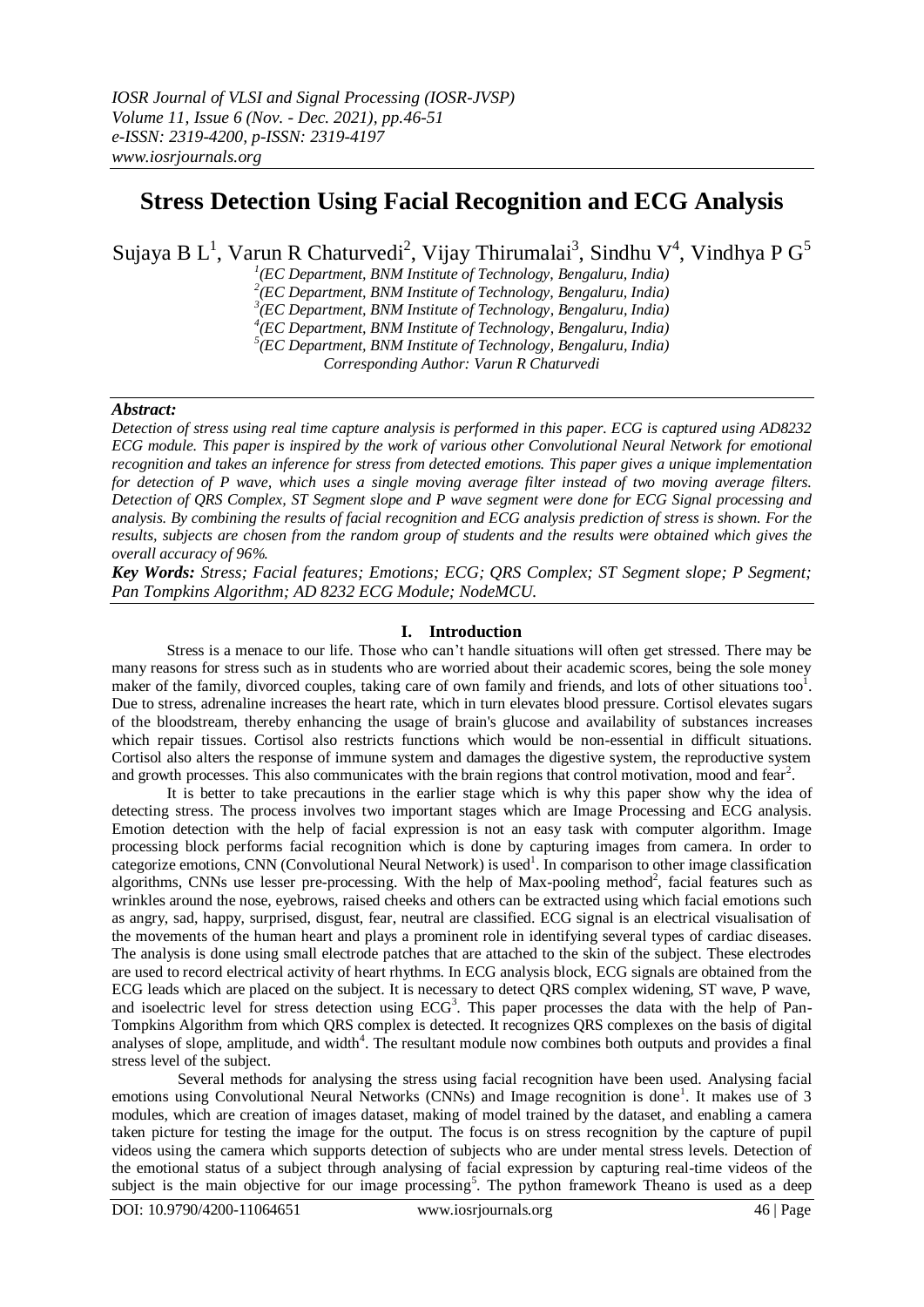# **Stress Detection Using Facial Recognition and ECG Analysis**

Sujaya B L<sup>1</sup>, Varun R Chaturvedi<sup>2</sup>, Vijay Thirumalai<sup>3</sup>, Sindhu V<sup>4</sup>, Vindhya P G<sup>5</sup>

*1 (EC Department, BNM Institute of Technology, Bengaluru, India)*

*2 (EC Department, BNM Institute of Technology, Bengaluru, India)*

*3 (EC Department, BNM Institute of Technology, Bengaluru, India)*

*4 (EC Department, BNM Institute of Technology, Bengaluru, India)*

*5 (EC Department, BNM Institute of Technology, Bengaluru, India)*

*Corresponding Author: Varun R Chaturvedi*

## *Abstract:*

*Detection of stress using real time capture analysis is performed in this paper. ECG is captured using AD8232 ECG module. This paper is inspired by the work of various other Convolutional Neural Network for emotional recognition and takes an inference for stress from detected emotions. This paper gives a unique implementation for detection of P wave, which uses a single moving average filter instead of two moving average filters. Detection of QRS Complex, ST Segment slope and P wave segment were done for ECG Signal processing and analysis. By combining the results of facial recognition and ECG analysis prediction of stress is shown. For the results, subjects are chosen from the random group of students and the results were obtained which gives the overall accuracy of 96%.* 

*Key Words: Stress; Facial features; Emotions; ECG; QRS Complex; ST Segment slope; P Segment; Pan Tompkins Algorithm; AD 8232 ECG Module; NodeMCU.* 

## **I. Introduction**

Stress is a menace to our life. Those who can't handle situations will often get stressed. There may be many reasons for stress such as in students who are worried about their academic scores, being the sole money maker of the family, divorced couples, taking care of own family and friends, and lots of other situations too<sup>1</sup>. Due to stress, adrenaline increases the heart rate, which in turn elevates blood pressure. Cortisol elevates sugars of the bloodstream, thereby enhancing the usage of brain's glucose and availability of substances increases which repair tissues. Cortisol also restricts functions which would be non-essential in difficult situations. Cortisol also alters the response of immune system and damages the digestive system, the reproductive system and growth processes. This also communicates with the brain regions that control motivation, mood and fear<sup>2</sup>.

It is better to take precautions in the earlier stage which is why this paper show why the idea of detecting stress. The process involves two important stages which are Image Processing and ECG analysis. Emotion detection with the help of facial expression is not an easy task with computer algorithm. Image processing block performs facial recognition which is done by capturing images from camera. In order to categorize emotions, CNN (Convolutional Neural Network) is used<sup>1</sup>. In comparison to other image classification algorithms, CNNs use lesser pre-processing. With the help of Max-pooling method<sup>2</sup>, facial features such as wrinkles around the nose, eyebrows, raised cheeks and others can be extracted using which facial emotions such as angry, sad, happy, surprised, disgust, fear, neutral are classified. ECG signal is an electrical visualisation of the movements of the human heart and plays a prominent role in identifying several types of cardiac diseases. The analysis is done using small electrode patches that are attached to the skin of the subject. These electrodes are used to record electrical activity of heart rhythms. In ECG analysis block, ECG signals are obtained from the ECG leads which are placed on the subject. It is necessary to detect QRS complex widening, ST wave, P wave, and isoelectric level for stress detection using  $ECG<sup>3</sup>$ . This paper processes the data with the help of Pan-Tompkins Algorithm from which QRS complex is detected. It recognizes QRS complexes on the basis of digital analyses of slope, amplitude, and width<sup>4</sup>. The resultant module now combines both outputs and provides a final stress level of the subject.

Several methods for analysing the stress using facial recognition have been used. Analysing facial emotions using Convolutional Neural Networks (CNNs) and Image recognition is done<sup>1</sup>. It makes use of 3 modules, which are creation of images dataset, making of model trained by the dataset, and enabling a camera taken picture for testing the image for the output. The focus is on stress recognition by the capture of pupil videos using the camera which supports detection of subjects who are under mental stress levels. Detection of the emotional status of a subject through analysing of facial expression by capturing real-time videos of the subject is the main objective for our image processing<sup>5</sup>. The python framework Theano is used as a deep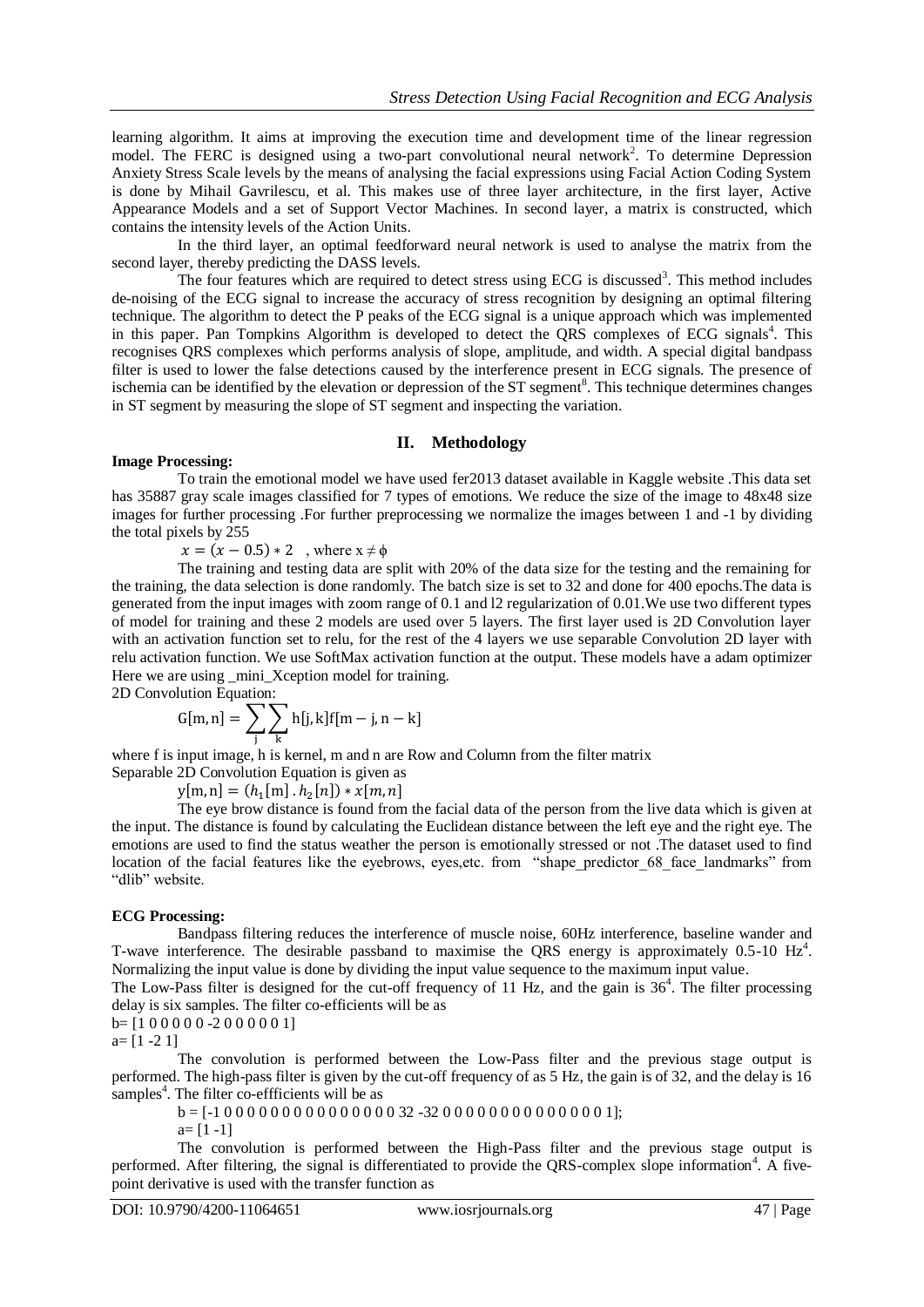learning algorithm. It aims at improving the execution time and development time of the linear regression model. The FERC is designed using a two-part convolutional neural network<sup>2</sup>. To determine Depression Anxiety Stress Scale levels by the means of analysing the facial expressions using Facial Action Coding System is done by Mihail Gavrilescu, et al. This makes use of three layer architecture, in the first layer, Active Appearance Models and a set of Support Vector Machines. In second layer, a matrix is constructed, which contains the intensity levels of the Action Units.

In the third layer, an optimal feedforward neural network is used to analyse the matrix from the second layer, thereby predicting the DASS levels.

The four features which are required to detect stress using ECG is discussed<sup>3</sup>. This method includes de-noising of the ECG signal to increase the accuracy of stress recognition by designing an optimal filtering technique. The algorithm to detect the P peaks of the ECG signal is a unique approach which was implemented in this paper. Pan Tompkins Algorithm is developed to detect the QRS complexes of ECG signals<sup>4</sup>. This recognises QRS complexes which performs analysis of slope, amplitude, and width. A special digital bandpass filter is used to lower the false detections caused by the interference present in ECG signals. The presence of ischemia can be identified by the elevation or depression of the ST segment<sup>8</sup>. This technique determines changes in ST segment by measuring the slope of ST segment and inspecting the variation.

#### **II. Methodology**

#### **Image Processing:**

To train the emotional model we have used fer2013 dataset available in Kaggle website .This data set has 35887 gray scale images classified for 7 types of emotions. We reduce the size of the image to 48x48 size images for further processing .For further preprocessing we normalize the images between 1 and -1 by dividing the total pixels by 255

 $x = (x - 0.5) * 2$ , where  $x \neq \phi$ 

The training and testing data are split with 20% of the data size for the testing and the remaining for the training, the data selection is done randomly. The batch size is set to 32 and done for 400 epochs.The data is generated from the input images with zoom range of 0.1 and l2 regularization of 0.01.We use two different types of model for training and these 2 models are used over 5 layers. The first layer used is 2D Convolution layer with an activation function set to relu, for the rest of the 4 layers we use separable Convolution 2D layer with relu activation function. We use SoftMax activation function at the output. These models have a adam optimizer Here we are using mini Xception model for training.

2D Convolution Equation:

$$
G[m,n] = \sum_{j} \sum_{k} h[j,k] f[m-j,n-k]
$$

where f is input image, h is kernel, m and n are Row and Column from the filter matrix Separable 2D Convolution Equation is given as

 $y[m,n] = (h_1[m].h_2[k])$ 

The eye brow distance is found from the facial data of the person from the live data which is given at the input. The distance is found by calculating the Euclidean distance between the left eye and the right eye. The emotions are used to find the status weather the person is emotionally stressed or not .The dataset used to find location of the facial features like the evebrows, eyes,etc. from "shape predictor 68 face landmarks" from "dlib" website.

#### **ECG Processing:**

Bandpass filtering reduces the interference of muscle noise, 60Hz interference, baseline wander and T-wave interference. The desirable passband to maximise the QRS energy is approximately  $0.5$ -10 Hz<sup>4</sup>. Normalizing the input value is done by dividing the input value sequence to the maximum input value.

The Low-Pass filter is designed for the cut-off frequency of 11  $\hat{H}z$ , and the gain is  $36^4$ . The filter processing delay is six samples. The filter co-efficients will be as

 $b=[1 0 0 0 0 0 -2 0 0 0 0 0 1]$ 

 $a= [1 -2 1]$ 

The convolution is performed between the Low-Pass filter and the previous stage output is performed. The high-pass filter is given by the cut-off frequency of as 5 Hz, the gain is of 32, and the delay is 16 samples<sup>4</sup>. The filter co-effficients will be as

 $b = [-1000000000000000032 - 3200000000000001];$ 

 $a= [1 -1]$ 

The convolution is performed between the High-Pass filter and the previous stage output is performed. After filtering, the signal is differentiated to provide the QRS-complex slope information<sup>4</sup>. A fivepoint derivative is used with the transfer function as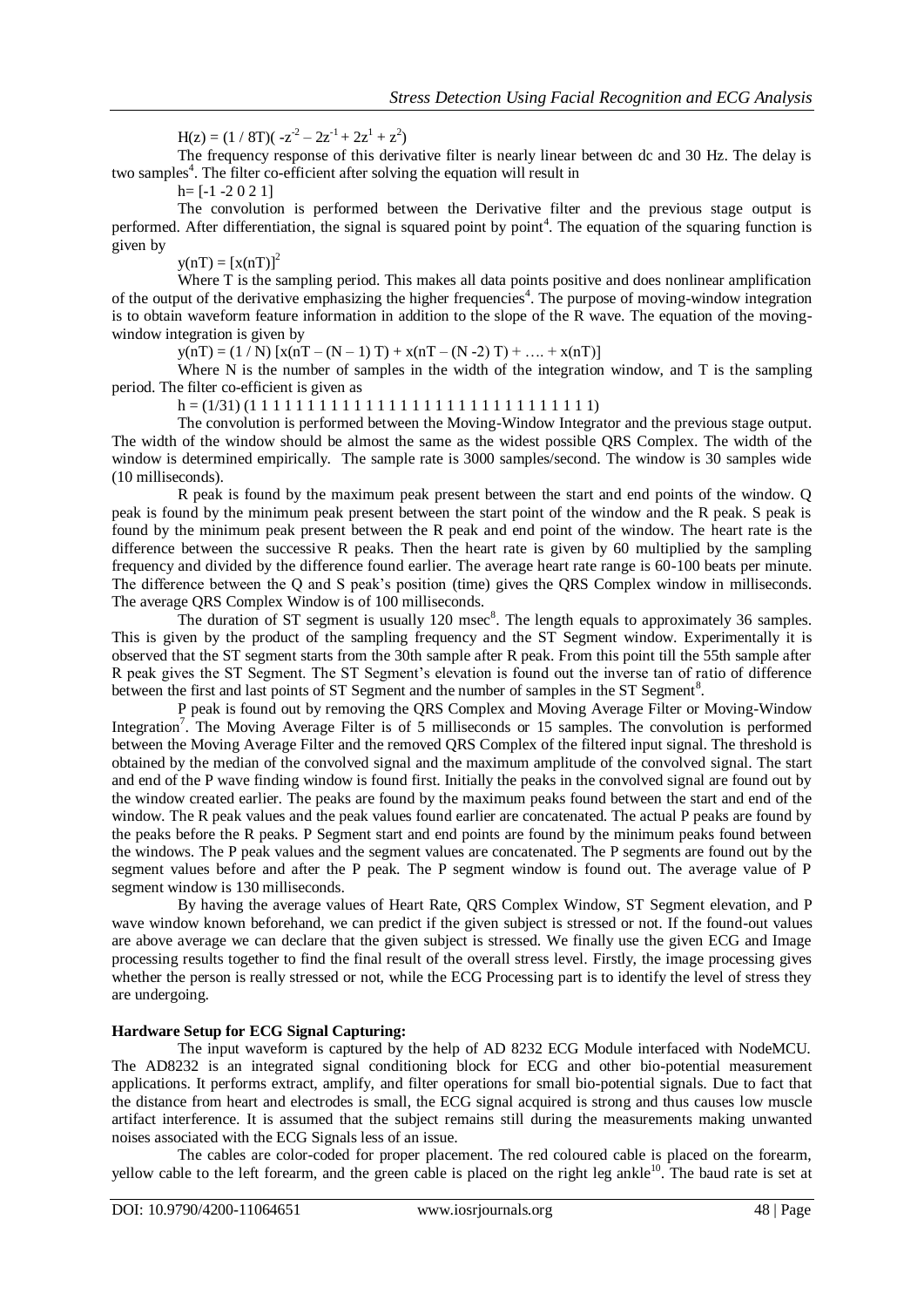$H(z) = (1 / 8T)(-z^2 - 2z^1 + 2z^1 + z^2)$ 

The frequency response of this derivative filter is nearly linear between dc and 30 Hz. The delay is two samples<sup>4</sup>. The filter co-efficient after solving the equation will result in

 $h=[-1 -2 0 2 1]$ 

The convolution is performed between the Derivative filter and the previous stage output is performed. After differentiation, the signal is squared point by point<sup>4</sup>. The equation of the squaring function is given by

 $y(nT) = [x(nT)]^2$ 

Where T is the sampling period. This makes all data points positive and does nonlinear amplification of the output of the derivative emphasizing the higher frequencies<sup>4</sup>. The purpose of moving-window integration is to obtain waveform feature information in addition to the slope of the R wave. The equation of the movingwindow integration is given by

 $y(nT) = (1/N) [x(nT - (N - 1) T) + x(nT - (N - 2) T) + ... + x(nT)]$ 

Where N is the number of samples in the width of the integration window, and T is the sampling period. The filter co-efficient is given as

h = (1/31) (1 1 1 1 1 1 1 1 1 1 1 1 1 1 1 1 1 1 1 1 1 1 1 1 1 1 1 1 1 1)

The convolution is performed between the Moving-Window Integrator and the previous stage output. The width of the window should be almost the same as the widest possible QRS Complex. The width of the window is determined empirically. The sample rate is 3000 samples/second. The window is 30 samples wide (10 milliseconds).

R peak is found by the maximum peak present between the start and end points of the window. Q peak is found by the minimum peak present between the start point of the window and the R peak. S peak is found by the minimum peak present between the R peak and end point of the window. The heart rate is the difference between the successive R peaks. Then the heart rate is given by 60 multiplied by the sampling frequency and divided by the difference found earlier. The average heart rate range is 60-100 beats per minute. The difference between the Q and S peak's position (time) gives the QRS Complex window in milliseconds. The average QRS Complex Window is of 100 milliseconds.

The duration of ST segment is usually  $120$  msec<sup>8</sup>. The length equals to approximately 36 samples. This is given by the product of the sampling frequency and the ST Segment window. Experimentally it is observed that the ST segment starts from the 30th sample after R peak. From this point till the 55th sample after R peak gives the ST Segment. The ST Segment's elevation is found out the inverse tan of ratio of difference between the first and last points of ST Segment and the number of samples in the ST Segment<sup>8</sup>.

P peak is found out by removing the QRS Complex and Moving Average Filter or Moving-Window Integration<sup>7</sup>. The Moving Average Filter is of 5 milliseconds or 15 samples. The convolution is performed between the Moving Average Filter and the removed QRS Complex of the filtered input signal. The threshold is obtained by the median of the convolved signal and the maximum amplitude of the convolved signal. The start and end of the P wave finding window is found first. Initially the peaks in the convolved signal are found out by the window created earlier. The peaks are found by the maximum peaks found between the start and end of the window. The R peak values and the peak values found earlier are concatenated. The actual P peaks are found by the peaks before the R peaks. P Segment start and end points are found by the minimum peaks found between the windows. The P peak values and the segment values are concatenated. The P segments are found out by the segment values before and after the P peak. The P segment window is found out. The average value of P segment window is 130 milliseconds.

By having the average values of Heart Rate, QRS Complex Window, ST Segment elevation, and P wave window known beforehand, we can predict if the given subject is stressed or not. If the found-out values are above average we can declare that the given subject is stressed. We finally use the given ECG and Image processing results together to find the final result of the overall stress level. Firstly, the image processing gives whether the person is really stressed or not, while the ECG Processing part is to identify the level of stress they are undergoing.

## **Hardware Setup for ECG Signal Capturing:**

The input waveform is captured by the help of AD 8232 ECG Module interfaced with NodeMCU. The AD8232 is an integrated signal conditioning block for ECG and other bio-potential measurement applications. It performs extract, amplify, and filter operations for small bio-potential signals. Due to fact that the distance from heart and electrodes is small, the ECG signal acquired is strong and thus causes low muscle artifact interference. It is assumed that the subject remains still during the measurements making unwanted noises associated with the ECG Signals less of an issue.

The cables are color-coded for proper placement. The red coloured cable is placed on the forearm, yellow cable to the left forearm, and the green cable is placed on the right leg ankle<sup>10</sup>. The baud rate is set at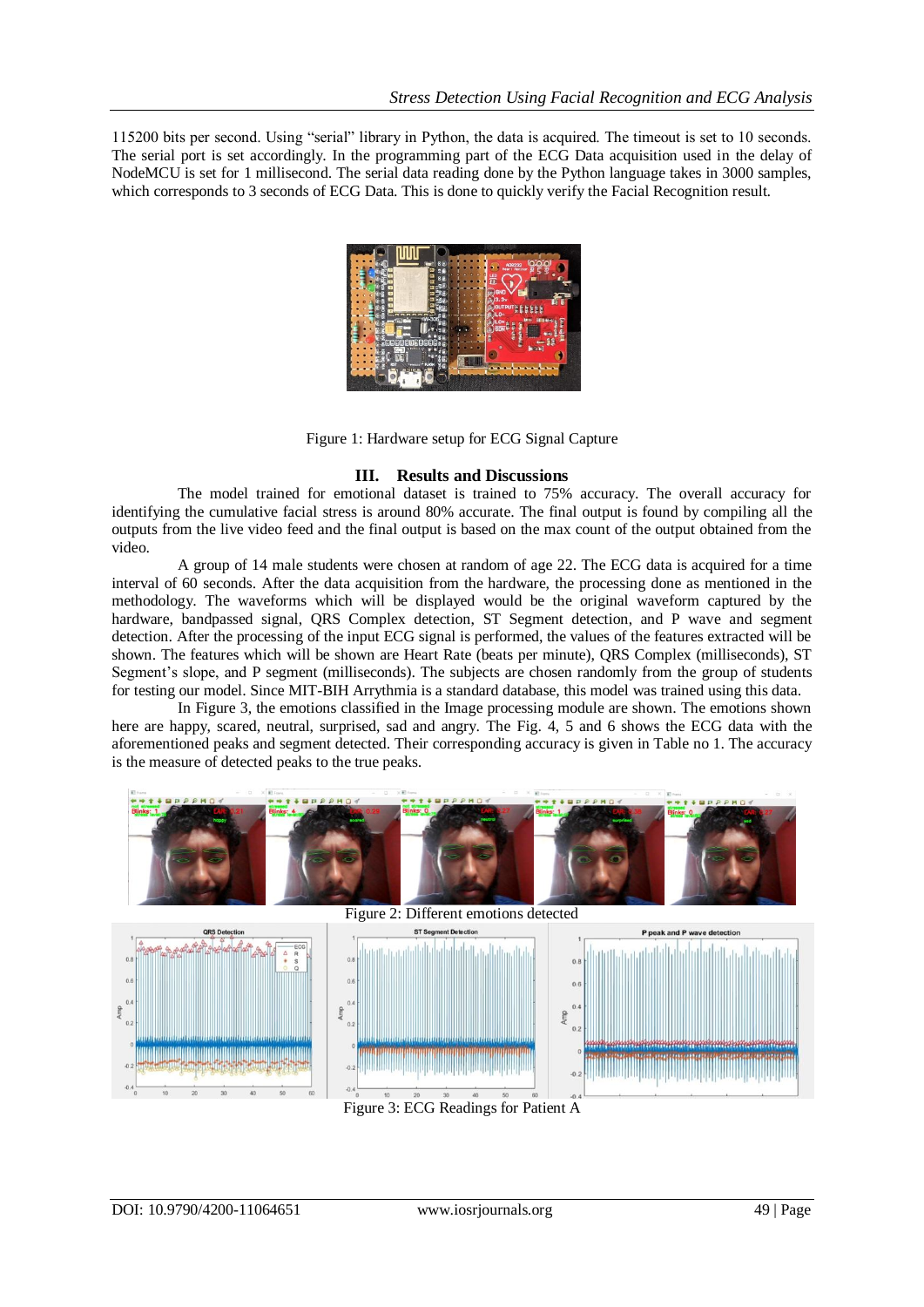115200 bits per second. Using "serial" library in Python, the data is acquired. The timeout is set to 10 seconds. The serial port is set accordingly. In the programming part of the ECG Data acquisition used in the delay of NodeMCU is set for 1 millisecond. The serial data reading done by the Python language takes in 3000 samples, which corresponds to 3 seconds of ECG Data. This is done to quickly verify the Facial Recognition result.



Figure 1: Hardware setup for ECG Signal Capture

# **III. Results and Discussions**

The model trained for emotional dataset is trained to 75% accuracy. The overall accuracy for identifying the cumulative facial stress is around 80% accurate. The final output is found by compiling all the outputs from the live video feed and the final output is based on the max count of the output obtained from the video.

A group of 14 male students were chosen at random of age 22. The ECG data is acquired for a time interval of 60 seconds. After the data acquisition from the hardware, the processing done as mentioned in the methodology. The waveforms which will be displayed would be the original waveform captured by the hardware, bandpassed signal, QRS Complex detection, ST Segment detection, and P wave and segment detection. After the processing of the input ECG signal is performed, the values of the features extracted will be shown. The features which will be shown are Heart Rate (beats per minute), QRS Complex (milliseconds), ST Segment's slope, and P segment (milliseconds). The subjects are chosen randomly from the group of students for testing our model. Since MIT-BIH Arrythmia is a standard database, this model was trained using this data.

In Figure 3, the emotions classified in the Image processing module are shown. The emotions shown here are happy, scared, neutral, surprised, sad and angry. The Fig. 4, 5 and 6 shows the ECG data with the aforementioned peaks and segment detected. Their corresponding accuracy is given in Table no 1. The accuracy is the measure of detected peaks to the true peaks.



Figure 3: ECG Readings for Patient A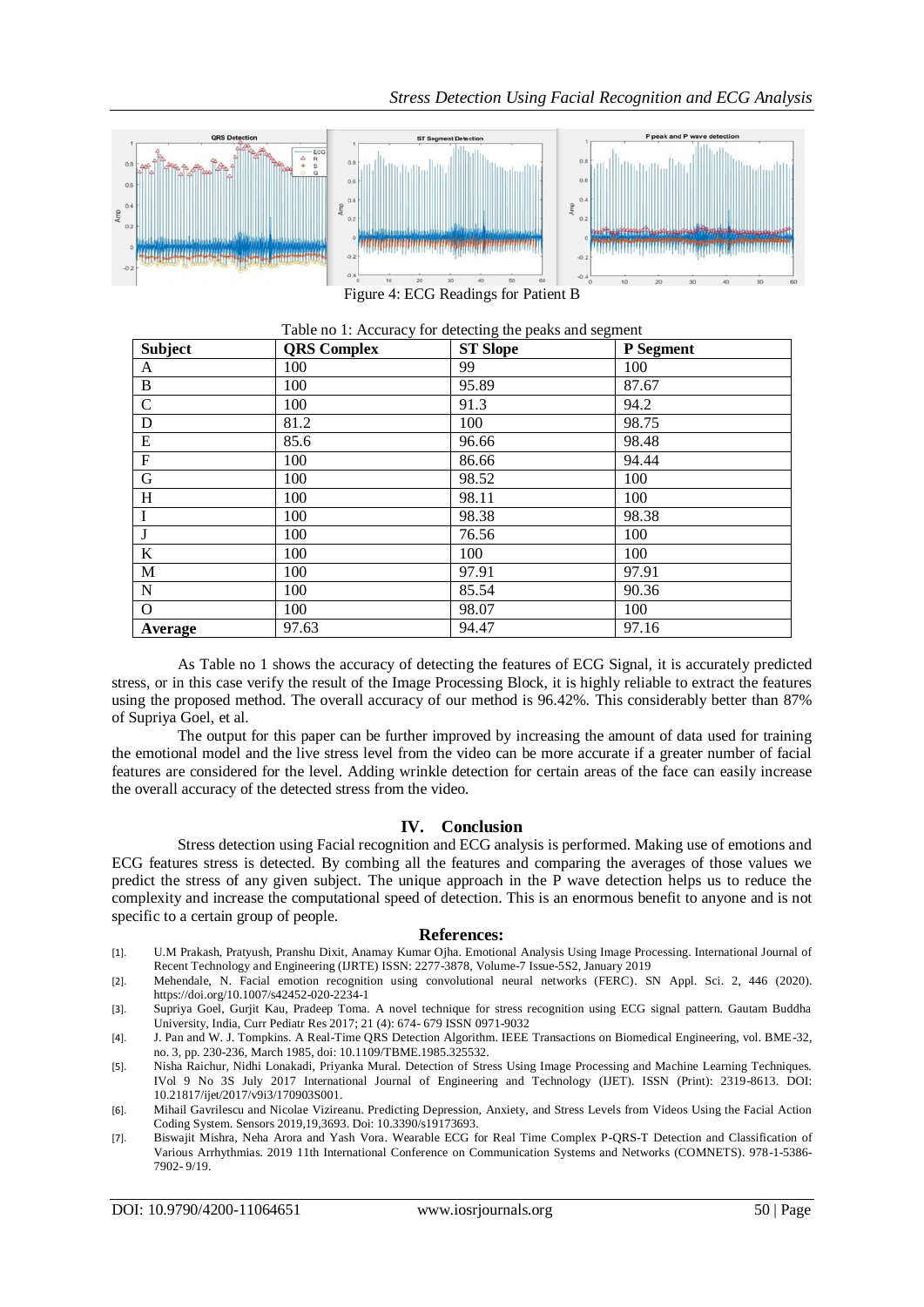

Figure 4: ECG Readings for Patient B

| <b>Subject</b> | <b>QRS</b> Complex | <b>ST Slope</b> | P Segment |
|----------------|--------------------|-----------------|-----------|
| A              | 100                | 99              | 100       |
| B              | 100                | 95.89           | 87.67     |
| $\mathcal{C}$  | 100                | 91.3            | 94.2      |
| D              | 81.2               | 100             | 98.75     |
| ${\bf E}$      | 85.6               | 96.66           | 98.48     |
| F              | 100                | 86.66           | 94.44     |
| $\mathbf G$    | 100                | 98.52           | 100       |
| H              | 100                | 98.11           | 100       |
| I              | 100                | 98.38           | 98.38     |
| J              | 100                | 76.56           | 100       |
| $\bf K$        | 100                | 100             | 100       |
| M              | 100                | 97.91           | 97.91     |
| N              | 100                | 85.54           | 90.36     |
| $\Omega$       | 100                | 98.07           | 100       |
| Average        | 97.63              | 94.47           | 97.16     |

Table no 1: Accuracy for detecting the peaks and segment

As Table no 1 shows the accuracy of detecting the features of ECG Signal, it is accurately predicted stress, or in this case verify the result of the Image Processing Block, it is highly reliable to extract the features using the proposed method. The overall accuracy of our method is 96.42%. This considerably better than 87% of Supriya Goel, et al.

The output for this paper can be further improved by increasing the amount of data used for training the emotional model and the live stress level from the video can be more accurate if a greater number of facial features are considered for the level. Adding wrinkle detection for certain areas of the face can easily increase the overall accuracy of the detected stress from the video.

# **IV. Conclusion**

Stress detection using Facial recognition and ECG analysis is performed. Making use of emotions and ECG features stress is detected. By combing all the features and comparing the averages of those values we predict the stress of any given subject. The unique approach in the P wave detection helps us to reduce the complexity and increase the computational speed of detection. This is an enormous benefit to anyone and is not specific to a certain group of people.

#### **References:**

- [1]. U.M Prakash, Pratyush, Pranshu Dixit, Anamay Kumar Ojha. Emotional Analysis Using Image Processing. International Journal of Recent Technology and Engineering (IJRTE) ISSN: 2277-3878, Volume-7 Issue-5S2, January 2019
- [2]. Mehendale, N. Facial emotion recognition using convolutional neural networks (FERC). SN Appl. Sci. 2, 446 (2020). https://doi.org/10.1007/s42452-020-2234-1
- [3]. Supriya Goel, Gurjit Kau, Pradeep Toma. A novel technique for stress recognition using ECG signal pattern. Gautam Buddha University, India, Curr Pediatr Res 2017; 21 (4): 674- 679 ISSN 0971-9032
- [4]. J. Pan and W. J. Tompkins. A Real-Time QRS Detection Algorithm. IEEE Transactions on Biomedical Engineering, vol. BME-32, no. 3, pp. 230-236, March 1985, doi: 10.1109/TBME.1985.325532.
- [5]. Nisha Raichur, Nidhi Lonakadi, Priyanka Mural. Detection of Stress Using Image Processing and Machine Learning Techniques. IVol 9 No 3S July 2017 International Journal of Engineering and Technology (IJET). ISSN (Print): 2319-8613. DOI: 10.21817/ijet/2017/v9i3/170903S001.
- [6]. Mihail Gavrilescu and Nicolae Vizireanu. Predicting Depression, Anxiety, and Stress Levels from Videos Using the Facial Action Coding System. Sensors 2019,19,3693. Doi: 10.3390/s19173693.
- [7]. Biswajit Mishra, Neha Arora and Yash Vora. Wearable ECG for Real Time Complex P-QRS-T Detection and Classification of Various Arrhythmias. 2019 11th International Conference on Communication Systems and Networks (COMNETS). 978-1-5386- 7902- 9/19.